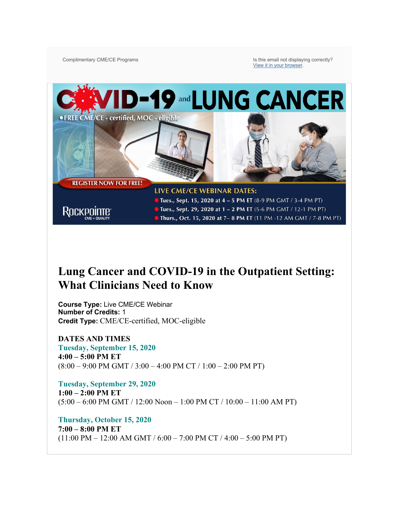Complimentary CME/CE Programs International Complimentary CME/CE Programs International Complimentary CME/CE Programs

View it in your browser.



# **Lung Cancer and COVID-19 in the Outpatient Setting: What Clinicians Need to Know**

**Course Type:** Live CME/CE Webinar **Number of Credits:** 1 **Credit Type:** CME/CE-certified, MOC-eligible

**DATES AND TIMES Tuesday, September 15, 2020 4:00 – 5:00 PM ET** (8:00 – 9:00 PM GMT / 3:00 – 4:00 PM CT / 1:00 – 2:00 PM PT)

**Tuesday, September 29, 2020 1:00 – 2:00 PM ET** (5:00 – 6:00 PM GMT / 12:00 Noon – 1:00 PM CT / 10:00 – 11:00 AM PT)

**Thursday, October 15, 2020 7:00 – 8:00 PM ET** (11:00 PM – 12:00 AM GMT / 6:00 – 7:00 PM CT / 4:00 – 5:00 PM PT)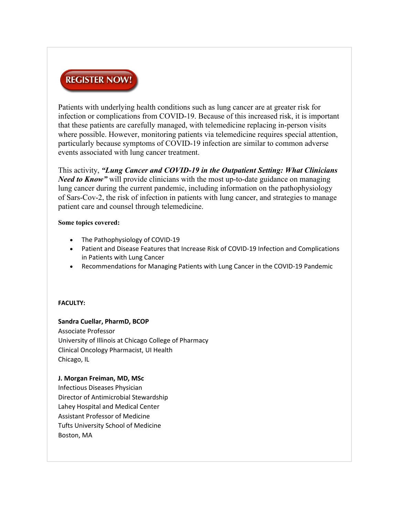

Patients with underlying health conditions such as lung cancer are at greater risk for infection or complications from COVID-19. Because of this increased risk, it is important that these patients are carefully managed, with telemedicine replacing in-person visits where possible. However, monitoring patients via telemedicine requires special attention, particularly because symptoms of COVID-19 infection are similar to common adverse events associated with lung cancer treatment.

This activity, *"Lung Cancer and COVID-19 in the Outpatient Setting: What Clinicians Need to Know"* will provide clinicians with the most up-to-date guidance on managing lung cancer during the current pandemic, including information on the pathophysiology of Sars-Cov-2, the risk of infection in patients with lung cancer, and strategies to manage patient care and counsel through telemedicine.

#### **Some topics covered:**

- The Pathophysiology of COVID-19
- Patient and Disease Features that Increase Risk of COVID-19 Infection and Complications in Patients with Lung Cancer
- Recommendations for Managing Patients with Lung Cancer in the COVID-19 Pandemic

### **FACULTY:**

### **Sandra Cuellar, PharmD, BCOP**

Associate Professor University of Illinois at Chicago College of Pharmacy Clinical Oncology Pharmacist, UI Health Chicago, IL

### **J. Morgan Freiman, MD, MSc**

Infectious Diseases Physician Director of Antimicrobial Stewardship Lahey Hospital and Medical Center Assistant Professor of Medicine Tufts University School of Medicine Boston, MA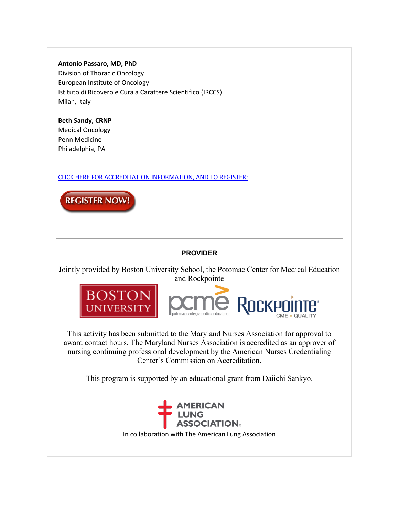**Antonio Passaro, MD, PhD** Division of Thoracic Oncology European Institute of Oncology Istituto di Ricovero e Cura a Carattere Scientifico (IRCCS) Milan, Italy

**Beth Sandy, CRNP** Medical Oncology Penn Medicine Philadelphia, PA

[CLICK HERE FOR ACCREDITATION INFORMATION, AND TO REGISTER:](https://cme.rockpointe.com/1013-COVID-and-lung-cancer-wbn-3p)



## **PROVIDER**

Jointly provided by Boston University School, the Potomac Center for Medical Education and Rockpointe



This activity has been submitted to the Maryland Nurses Association for approval to award contact hours. The Maryland Nurses Association is accredited as an approver of nursing continuing professional development by the American Nurses Credentialing Center's Commission on Accreditation.

This program is supported by an educational grant from Daiichi Sankyo.



In collaboration with The American Lung Association